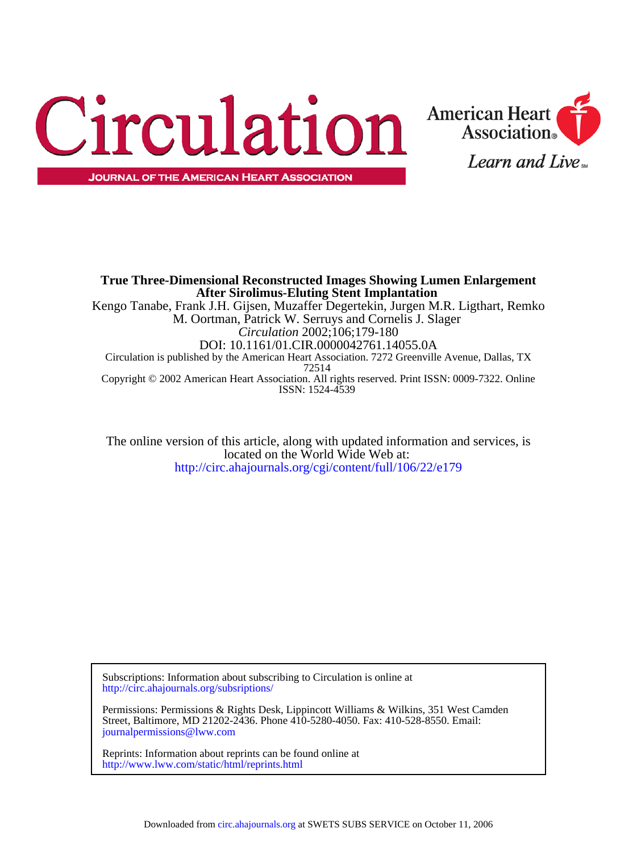



**Association**®

Learn and Live

<http://circ.ahajournals.org/cgi/content/full/106/22/e179> located on the World Wide Web at: The online version of this article, along with updated information and services, is

[http://circ.ahajournals.org/subsriptions/](http://circ.ahajournals.org/subscriptions/) Subscriptions: Information about subscribing to Circulation is online at

[journalpermissions@lww.com](mailto:journalpermissions@lww.com) Street, Baltimore, MD 21202-2436. Phone 410-5280-4050. Fax: 410-528-8550. Email: Permissions: Permissions & Rights Desk, Lippincott Williams & Wilkins, 351 West Camden

<http://www.lww.com/static/html/reprints.html> Reprints: Information about reprints can be found online at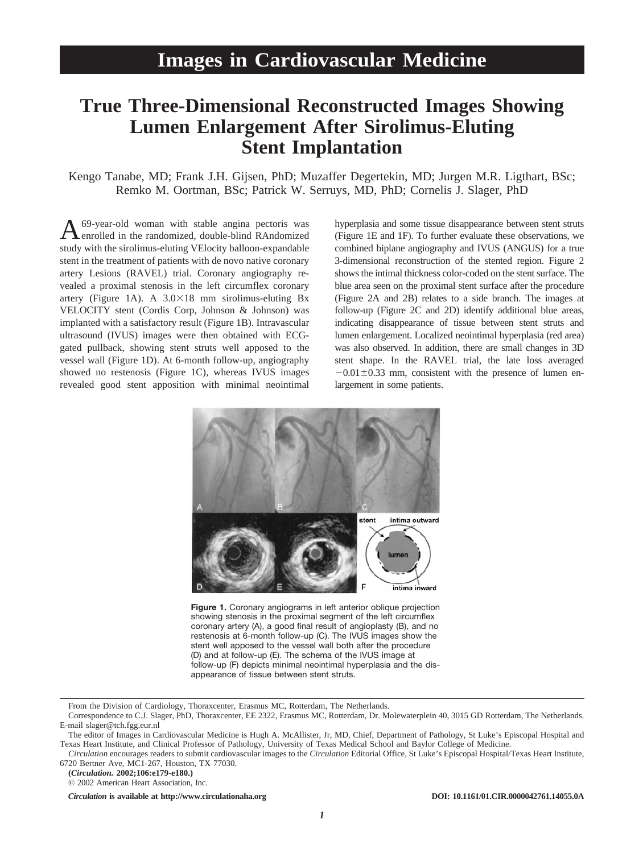## **True Three-Dimensional Reconstructed Images Showing Lumen Enlargement After Sirolimus-Eluting Stent Implantation**

Kengo Tanabe, MD; Frank J.H. Gijsen, PhD; Muzaffer Degertekin, MD; Jurgen M.R. Ligthart, BSc; Remko M. Oortman, BSc; Patrick W. Serruys, MD, PhD; Cornelis J. Slager, PhD

A69-year-old woman with stable angina pectoris was enrolled in the randomized, double-blind RAndomized study with the sirolimus-eluting VElocity balloon-expandable stent in the treatment of patients with de novo native coronary artery Lesions (RAVEL) trial. Coronary angiography revealed a proximal stenosis in the left circumflex coronary artery (Figure 1A). A  $3.0 \times 18$  mm sirolimus-eluting Bx VELOCITY stent (Cordis Corp, Johnson & Johnson) was implanted with a satisfactory result (Figure 1B). Intravascular ultrasound (IVUS) images were then obtained with ECGgated pullback, showing stent struts well apposed to the vessel wall (Figure 1D). At 6-month follow-up, angiography showed no restenosis (Figure 1C), whereas IVUS images revealed good stent apposition with minimal neointimal hyperplasia and some tissue disappearance between stent struts (Figure 1E and 1F). To further evaluate these observations, we combined biplane angiography and IVUS (ANGUS) for a true 3-dimensional reconstruction of the stented region. Figure 2 shows the intimal thickness color-coded on the stent surface. The blue area seen on the proximal stent surface after the procedure (Figure 2A and 2B) relates to a side branch. The images at follow-up (Figure 2C and 2D) identify additional blue areas, indicating disappearance of tissue between stent struts and lumen enlargement. Localized neointimal hyperplasia (red area) was also observed. In addition, there are small changes in 3D stent shape. In the RAVEL trial, the late loss averaged  $-0.01 \pm 0.33$  mm, consistent with the presence of lumen enlargement in some patients.



**Figure 1.** Coronary angiograms in left anterior oblique projection showing stenosis in the proximal segment of the left circumflex coronary artery (A), a good final result of angioplasty (B), and no restenosis at 6-month follow-up (C). The IVUS images show the stent well apposed to the vessel wall both after the procedure (D) and at follow-up (E). The schema of the IVUS image at follow-up (F) depicts minimal neointimal hyperplasia and the disappearance of tissue between stent struts.

From the Division of Cardiology, Thoraxcenter, Erasmus MC, Rotterdam, The Netherlands.

*Circulation* **is available at http://www.circulationaha.org DOI: 10.1161/01.CIR.0000042761.14055.0A**

Correspondence to C.J. Slager, PhD, Thoraxcenter, EE 2322, Erasmus MC, Rotterdam, Dr. Molewaterplein 40, 3015 GD Rotterdam, The Netherlands. E-mail slager@tch.fgg.eur.nl

The editor of Images in Cardiovascular Medicine is Hugh A. McAllister, Jr, MD, Chief, Department of Pathology, St Luke's Episcopal Hospital and Texas Heart Institute, and Clinical Professor of Pathology, University of Texas Medical School and Baylor College of Medicine.

*Circulation* encourages readers to submit cardiovascular images to the *Circulation* Editorial Office, St Luke's Episcopal Hospital/Texas Heart Institute, 6720 Bertner Ave, MC1-267, Houston, TX 77030.

**<sup>(</sup>***Circulation.* **2002;106:e179-e180.)**

<sup>© 2002</sup> American Heart Association, Inc.